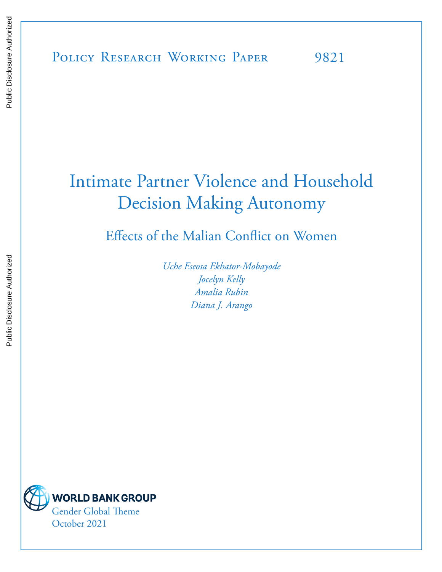# Intimate Partner Violence and Household Decision Making Autonomy

Effects of the Malian Conflict on Women

*Uche Eseosa Ekhator-Mobayode Jocelyn Kelly Amalia Rubin Diana J. Arango*

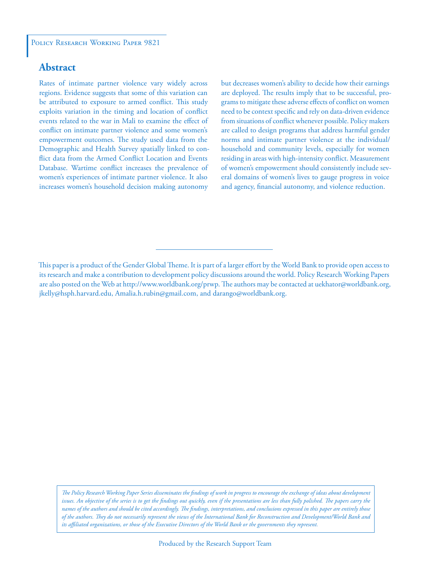# **Abstract**

Rates of intimate partner violence vary widely across regions. Evidence suggests that some of this variation can be attributed to exposure to armed conflict. This study exploits variation in the timing and location of conflict events related to the war in Mali to examine the effect of conflict on intimate partner violence and some women's empowerment outcomes. The study used data from the Demographic and Health Survey spatially linked to conflict data from the Armed Conflict Location and Events Database. Wartime conflict increases the prevalence of women's experiences of intimate partner violence. It also increases women's household decision making autonomy but decreases women's ability to decide how their earnings are deployed. The results imply that to be successful, programs to mitigate these adverse effects of conflict on women need to be context specific and rely on data-driven evidence from situations of conflict whenever possible. Policy makers are called to design programs that address harmful gender norms and intimate partner violence at the individual/ household and community levels, especially for women residing in areas with high-intensity conflict. Measurement of women's empowerment should consistently include several domains of women's lives to gauge progress in voice and agency, financial autonomy, and violence reduction.

*The Policy Research Working Paper Series disseminates the findings of work in progress to encourage the exchange of ideas about development*  issues. An objective of the series is to get the findings out quickly, even if the presentations are less than fully polished. The papers carry the *names of the authors and should be cited accordingly. The findings, interpretations, and conclusions expressed in this paper are entirely those of the authors. They do not necessarily represent the views of the International Bank for Reconstruction and Development/World Bank and its affiliated organizations, or those of the Executive Directors of the World Bank or the governments they represent.*

This paper is a product of the Gender Global Theme. It is part of a larger effort by the World Bank to provide open access to its research and make a contribution to development policy discussions around the world. Policy Research Working Papers are also posted on the Web at http://www.worldbank.org/prwp. The authors may be contacted at uekhator@worldbank.org, jkelly@hsph.harvard.edu, Amalia.h.rubin@gmail.com, and darango@worldbank.org.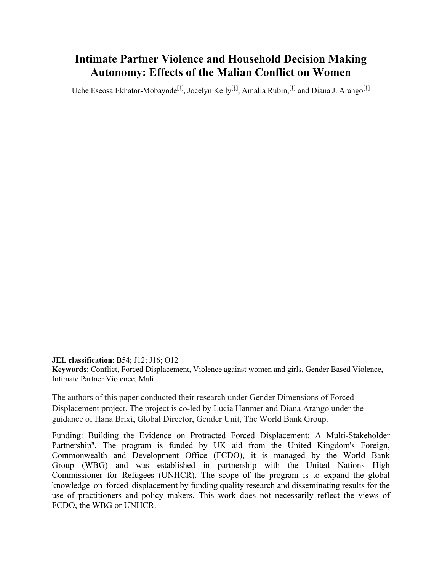# **Intimate Partner Violence and Household Decision Making Autonomy: Effects of the Malian Conflict on Women**

Uche Eseosa Ekhator-Mobayode<sup>[†]</sup>, Jocelyn Kelly<sup>[‡]</sup>, Amalia Rubin,<sup>[†]</sup> and Diana J. Arango<sup>[†]</sup>

**JEL classification**: B54; J12; J16; O12 **Keywords**: Conflict, Forced Displacement, Violence against women and girls, Gender Based Violence, Intimate Partner Violence, Mali

The authors of this paper conducted their research under Gender Dimensions of Forced Displacement project. The project is co-led by Lucia Hanmer and Diana Arango under the guidance of Hana Brixi, Global Director, Gender Unit, The World Bank Group.

Funding: Building the Evidence on Protracted Forced Displacement: A Multi-Stakeholder Partnership''. The program is funded by UK aid from the United Kingdom's Foreign, Commonwealth and Development Office (FCDO), it is managed by the World Bank Group (WBG) and was established in partnership with the United Nations High Commissioner for Refugees (UNHCR). The scope of the program is to expand the global knowledge on forced displacement by funding quality research and disseminating results for the use of practitioners and policy makers. This work does not necessarily reflect the views of FCDO, the WBG or UNHCR.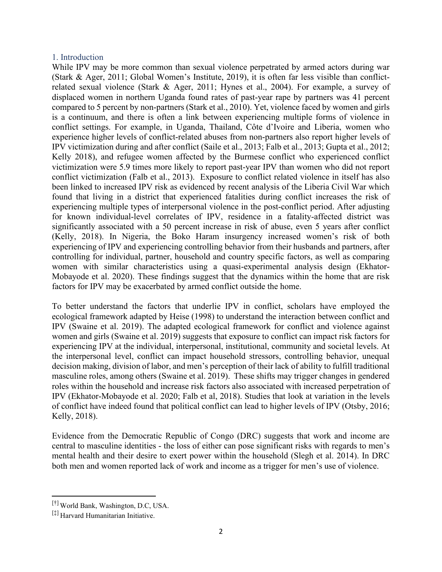# [1](#page-3-0). Introduction

While IPV may be more common than sexual violence perpetrated by armed actors during war (Stark & Ager, 2011; Global Women's Institute, 2019), it is often far less visible than conflictrelated sexual violence (Stark & Ager, 2011; Hynes et al., 2004). For example, a survey of displaced women in northern Uganda found rates of past-year rape by partners was 41 percent compared to 5 percent by non-partners (Stark et al., 2010). Yet, violence faced by women and girls is a continuum, and there is often a link between experiencing multiple forms of violence in conflict settings. For example, in Uganda, Thailand, Côte d'Ivoire and Liberia, women who experience higher levels of conflict-related abuses from non-partners also report higher levels of IPV victimization during and after conflict (Saile et al., 2013; Falb et al., 2013; Gupta et al., 2012; Kelly 2018), and refugee women affected by the Burmese conflict who experienced conflict victimization were 5.9 times more likely to report past-year IPV than women who did not report conflict victimization (Falb et al., 2013). Exposure to conflict related violence in itself has also been linked to increased IPV risk as evidenced by recent analysis of the Liberia Civil War which found that living in a district that experienced fatalities during conflict increases the risk of experiencing multiple types of interpersonal violence in the post-conflict period. After adjusting for known individual-level correlates of IPV, residence in a fatality-affected district was significantly associated with a 50 percent increase in risk of abuse, even 5 years after conflict (Kelly, 2018). In Nigeria, the Boko Haram insurgency increased women's risk of both experiencing of IPV and experiencing controlling behavior from their husbands and partners, after controlling for individual, partner, household and country specific factors, as well as comparing women with similar characteristics using a quasi-experimental analysis design (Ekhator-Mobayode et al. 2020). These findings suggest that the dynamics within the home that are risk factors for IPV may be exacerbated by armed conflict outside the home.

To better understand the factors that underlie IPV in conflict, scholars have employed the ecological framework adapted by Heise (1998) to understand the interaction between conflict and IPV (Swaine et al. 2019). The adapted ecological framework for conflict and violence against women and girls (Swaine et al. 2019) suggests that exposure to conflict can impact risk factors for experiencing IPV at the individual, interpersonal, institutional, community and societal levels. At the interpersonal level, conflict can impact household stressors, controlling behavior, unequal decision making, division of labor, and men's perception of their lack of ability to fulfill traditional masculine roles, among others (Swaine et al. 2019). These shifts may trigger changes in gendered roles within the household and increase risk factors also associated with increased perpetration of IPV (Ekhator-Mobayode et al. 2020; Falb et al, 2018). Studies that look at variation in the levels of conflict have indeed found that political conflict can lead to higher levels of IPV (Otsby, 2016; Kelly, 2018).

Evidence from the Democratic Republic of Congo (DRC) suggests that work and income are central to masculine identities - the loss of either can pose significant risks with regards to men's mental health and their desire to exert power within the household (Slegh et al. 2014). In DRC both men and women reported lack of work and income as a trigger for men's use of violence.

<span id="page-3-0"></span><sup>[†]</sup> World Bank, Washington, D.C, USA.

<sup>[‡]</sup> Harvard Humanitarian Initiative.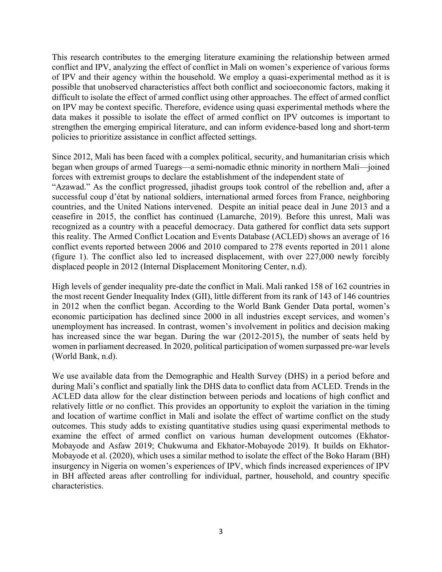This research contributes to the emerging literature examining the relationship between armed conflict and IPV, analyzing the effect of conflict in Mali on women's experience of various forms of IPV and their agency within the household. We employ a quasi-experimental method as it is possible that unobserved characteristics affect both conflict and socioeconomic factors, making it difficult to isolate the effect of armed conflict using other approaches. The effect of armed conflict on IPV may be context specific. Therefore, evidence using quasi experimental methods where the data makes it possible to isolate the effect of armed conflict on IPV outcomes is important to strengthen the emerging empirical literature, and can inform evidence-based long and short-term policies to prioritize assistance in conflict affected settings.

Since 2012, Mali has been faced with a complex political, security, and humanitarian crisis which began when groups of armed Tuaregs—a semi-nomadic ethnic minority in northern Mali—joined forces with extremist groups to declare the establishment of the independent state of "Azawad." As the conflict progressed, jihadist groups took control of the rebellion and, after a successful coup d'état by national soldiers, international armed forces from France, neighboring countries, and the United Nations intervened. Despite an initial peace deal in June 2013 and a ceasefire in 2015, the conflict has continued (Lamarche, 2019). Before this unrest, Mali was recognized as a country with a peaceful democracy. Data gathered for conflict data sets support this reality. The Armed Conflict Location and Events Database (ACLED) shows an average of 16 conflict events reported between 2006 and 2010 compared to 278 events reported in 2011 alone (figure 1). The conflict also led to increased displacement, with over 227,000 newly forcibly displaced people in 2012 (Internal Displacement Monitoring Center, n.d).

High levels of gender inequality pre-date the conflict in Mali. Mali ranked 158 of 162 countries in the most recent Gender Inequality Index (GII), little different from its rank of 143 of 146 countries in 2012 when the conflict began. According to the World Bank Gender Data portal, women's economic participation has declined since 2000 in all industries except services, and women's unemployment has increased. In contrast, women's involvement in politics and decision making has increased since the war began. During the war (2012-2015), the number of seats held by women in parliament decreased. In 2020, political participation of women surpassed pre-war levels (World Bank, n.d).

We use available data from the Demographic and Health Survey (DHS) in a period before and during Mali's conflict and spatially link the DHS data to conflict data from ACLED. Trends in the ACLED data allow for the clear distinction between periods and locations of high conflict and relatively little or no conflict. This provides an opportunity to exploit the variation in the timing and location of wartime conflict in Mali and isolate the effect of wartime conflict on the study outcomes. This study adds to existing quantitative studies using quasi experimental methods to examine the effect of armed conflict on various human development outcomes (Ekhator-Mobayode and Asfaw 2019; Chukwuma and Ekhator-Mobayode 2019). It builds on Ekhator-Mobayode et al. (2020), which uses a similar method to isolate the effect of the Boko Haram (BH) insurgency in Nigeria on women's experiences of IPV, which finds increased experiences of IPV in BH affected areas after controlling for individual, partner, household, and country specific characteristics.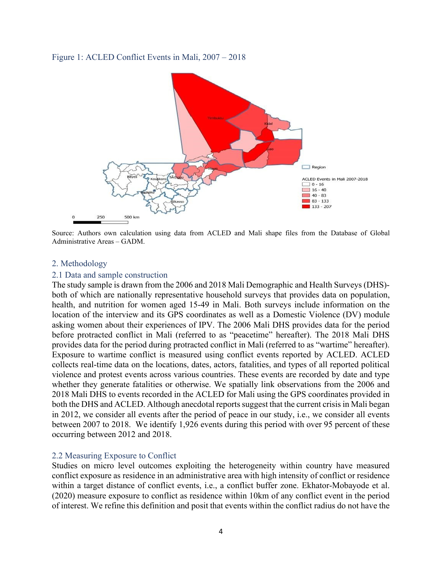#### Figure 1: ACLED Conflict Events in Mali, 2007 – 2018



Source: Authors own calculation using data from ACLED and Mali shape files from the Database of Global Administrative Areas – GADM.

#### 2. Methodology

#### 2.1 Data and sample construction

The study sample is drawn from the 2006 and 2018 Mali Demographic and Health Surveys (DHS) both of which are nationally representative household surveys that provides data on population, health, and nutrition for women aged 15-49 in Mali. Both surveys include information on the location of the interview and its GPS coordinates as well as a Domestic Violence (DV) module asking women about their experiences of IPV. The 2006 Mali DHS provides data for the period before protracted conflict in Mali (referred to as "peacetime" hereafter). The 2018 Mali DHS provides data for the period during protracted conflict in Mali (referred to as "wartime" hereafter). Exposure to wartime conflict is measured using conflict events reported by ACLED. ACLED collects real-time data on the locations, dates, actors, fatalities, and types of all reported political violence and protest events across various countries. These events are recorded by date and type whether they generate fatalities or otherwise. We spatially link observations from the 2006 and 2018 Mali DHS to events recorded in the ACLED for Mali using the GPS coordinates provided in both the DHS and ACLED. Although anecdotal reports suggest that the current crisis in Mali began in 2012, we consider all events after the period of peace in our study, i.e., we consider all events between 2007 to 2018. We identify 1,926 events during this period with over 95 percent of these occurring between 2012 and 2018.

#### 2.2 Measuring Exposure to Conflict

Studies on micro level outcomes exploiting the heterogeneity within country have measured conflict exposure as residence in an administrative area with high intensity of conflict or residence within a target distance of conflict events, i.e., a conflict buffer zone. Ekhator-Mobayode et al. (2020) measure exposure to conflict as residence within 10km of any conflict event in the period of interest. We refine this definition and posit that events within the conflict radius do not have the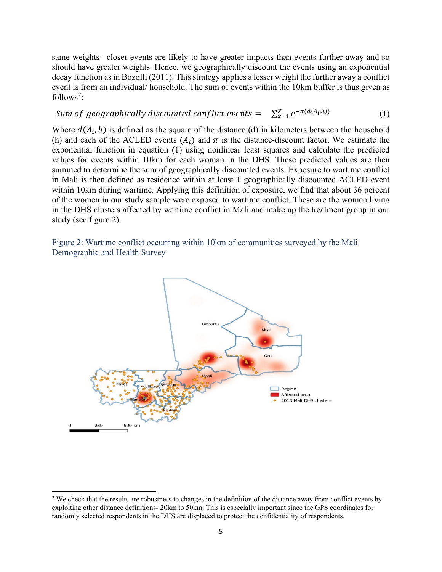same weights –closer events are likely to have greater impacts than events further away and so should have greater weights. Hence, we geographically discount the events using an exponential decay function as in Bozolli (2011). This strategy applies a lesser weight the further away a conflict event is from an individual/ household. The sum of events within the 10km buffer is thus given as follows<sup>[2](#page-6-0)</sup>:

Sum of geographically discounted conflict events =  $\sum_{x=1}^{X} e^{-\pi(d(A_i, h))}$  (1)

Where  $d(A_i, h)$  is defined as the square of the distance (d) in kilometers between the household (h) and each of the ACLED events  $(A_i)$  and  $\pi$  is the distance-discount factor. We estimate the exponential function in equation (1) using nonlinear least squares and calculate the predicted values for events within 10km for each woman in the DHS. These predicted values are then summed to determine the sum of geographically discounted events. Exposure to wartime conflict in Mali is then defined as residence within at least 1 geographically discounted ACLED event within 10km during wartime. Applying this definition of exposure, we find that about 36 percent of the women in our study sample were exposed to wartime conflict. These are the women living in the DHS clusters affected by wartime conflict in Mali and make up the treatment group in our study (see figure 2).

Figure 2: Wartime conflict occurring within 10km of communities surveyed by the Mali Demographic and Health Survey



<span id="page-6-0"></span><sup>&</sup>lt;sup>2</sup> We check that the results are robustness to changes in the definition of the distance away from conflict events by exploiting other distance definitions- 20km to 50km. This is especially important since the GPS coordinates for randomly selected respondents in the DHS are displaced to protect the confidentiality of respondents.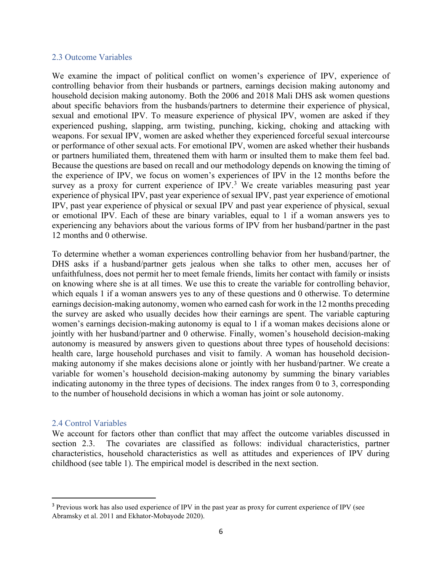#### 2.3 Outcome Variables

We examine the impact of political conflict on women's experience of IPV, experience of controlling behavior from their husbands or partners, earnings decision making autonomy and household decision making autonomy. Both the 2006 and 2018 Mali DHS ask women questions about specific behaviors from the husbands/partners to determine their experience of physical, sexual and emotional IPV. To measure experience of physical IPV, women are asked if they experienced pushing, slapping, arm twisting, punching, kicking, choking and attacking with weapons. For sexual IPV, women are asked whether they experienced forceful sexual intercourse or performance of other sexual acts. For emotional IPV, women are asked whether their husbands or partners humiliated them, threatened them with harm or insulted them to make them feel bad. Because the questions are based on recall and our methodology depends on knowing the timing of the experience of IPV, we focus on women's experiences of IPV in the 12 months before the survey as a proxy for current experience of IPV. $3$  We create variables measuring past year experience of physical IPV, past year experience of sexual IPV, past year experience of emotional IPV, past year experience of physical or sexual IPV and past year experience of physical, sexual or emotional IPV. Each of these are binary variables, equal to 1 if a woman answers yes to experiencing any behaviors about the various forms of IPV from her husband/partner in the past 12 months and 0 otherwise.

To determine whether a woman experiences controlling behavior from her husband/partner, the DHS asks if a husband/partner gets jealous when she talks to other men, accuses her of unfaithfulness, does not permit her to meet female friends, limits her contact with family or insists on knowing where she is at all times. We use this to create the variable for controlling behavior, which equals 1 if a woman answers yes to any of these questions and 0 otherwise. To determine earnings decision-making autonomy, women who earned cash for work in the 12 months preceding the survey are asked who usually decides how their earnings are spent. The variable capturing women's earnings decision-making autonomy is equal to 1 if a woman makes decisions alone or jointly with her husband/partner and 0 otherwise. Finally, women's household decision-making autonomy is measured by answers given to questions about three types of household decisions: health care, large household purchases and visit to family. A woman has household decisionmaking autonomy if she makes decisions alone or jointly with her husband/partner. We create a variable for women's household decision-making autonomy by summing the binary variables indicating autonomy in the three types of decisions. The index ranges from 0 to 3, corresponding to the number of household decisions in which a woman has joint or sole autonomy.

#### 2.4 Control Variables

We account for factors other than conflict that may affect the outcome variables discussed in section 2.3. The covariates are classified as follows: individual characteristics, partner characteristics, household characteristics as well as attitudes and experiences of IPV during childhood (see table 1). The empirical model is described in the next section.

<span id="page-7-0"></span><sup>3</sup> Previous work has also used experience of IPV in the past year as proxy for current experience of IPV (see Abramsky et al. 2011 and Ekhator-Mobayode 2020).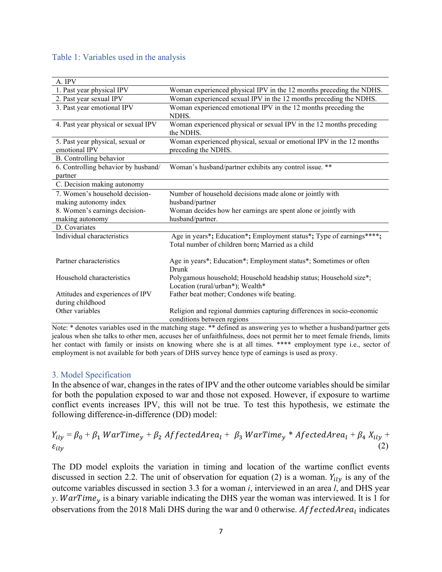#### Table 1: Variables used in the analysis

| A. IPV                              |                                                                       |
|-------------------------------------|-----------------------------------------------------------------------|
| 1. Past year physical IPV           | Woman experienced physical IPV in the 12 months preceding the NDHS.   |
| 2. Past year sexual IPV             | Woman experienced sexual IPV in the 12 months preceding the NDHS.     |
| 3. Past year emotional IPV          | Woman experienced emotional IPV in the 12 months preceding the        |
|                                     | NDHS.                                                                 |
| 4. Past year physical or sexual IPV | Woman experienced physical or sexual IPV in the 12 months preceding   |
|                                     | the NDHS.                                                             |
| 5. Past year physical, sexual or    | Woman experienced physical, sexual or emotional IPV in the 12 months  |
| emotional IPV                       | preceding the NDHS.                                                   |
| B. Controlling behavior             |                                                                       |
| 6. Controlling behavior by husband/ | Woman's husband/partner exhibits any control issue. **                |
| partner                             |                                                                       |
| C. Decision making autonomy         |                                                                       |
| 7. Women's household decision-      | Number of household decisions made alone or jointly with              |
| making autonomy index               | husband/partner                                                       |
| 8. Women's earnings decision-       | Woman decides how her earnings are spent alone or jointly with        |
| making autonomy                     | husband/partner.                                                      |
| D. Covariates                       |                                                                       |
| Individual characteristics          | Age in years*; Education*; Employment status*; Type of earnings****;  |
|                                     | Total number of children born; Married as a child                     |
|                                     |                                                                       |
| Partner characteristics             | Age in years*; Education*; Employment status*; Sometimes or often     |
|                                     | Drunk                                                                 |
| Household characteristics           | Polygamous household; Household headship status; Household size*;     |
|                                     | Location (rural/urban*); Wealth*                                      |
| Attitudes and experiences of IPV    | Father beat mother; Condones wife beating.                            |
| during childhood                    |                                                                       |
| Other variables                     | Religion and regional dummies capturing differences in socio-economic |
|                                     | conditions between regions                                            |

Note: \* denotes variables used in the matching stage. \*\* defined as answering yes to whether a husband/partner gets jealous when she talks to other men, accuses her of unfaithfulness, does not permit her to meet female friends, limits her contact with family or insists on knowing where she is at all times. \*\*\*\* employment type i.e., sector of employment is not available for both years of DHS survey hence type of earnings is used as proxy.

#### 3. Model Specification

In the absence of war, changes in the rates of IPV and the other outcome variables should be similar for both the population exposed to war and those not exposed. However, if exposure to wartime conflict events increases IPV, this will not be true. To test this hypothesis, we estimate the following difference-in-difference (DD) model:

 $Y_{ily} = \beta_0 + \beta_1 \, WarTime_y + \beta_2 \, Affected Area_l + \beta_3 \, WarTime_y * A fetched Area_l + \beta_4 \, X_{ily} + \epsilon_{div}$ (2)  $\varepsilon_{ily}$  (2)

The DD model exploits the variation in timing and location of the wartime conflict events discussed in section 2.2. The unit of observation for equation (2) is a woman.  $Y_{ily}$  is any of the outcome variables discussed in section 3.3 for a woman *i*, interviewed in an area *l*, and DHS year *y*. *WarTime<sub>y</sub>* is a binary variable indicating the DHS year the woman was interviewed. It is 1 for observations from the 2018 Mali DHS during the war and 0 otherwise.  $AffectedArea$  indicates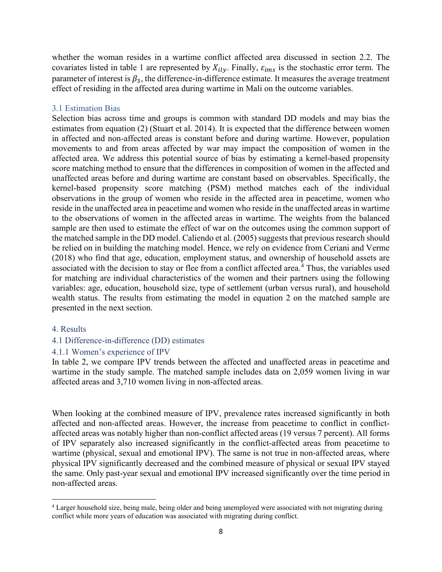whether the woman resides in a wartime conflict affected area discussed in section 2.2. The covariates listed in table 1 are represented by  $X_{i l y}$ . Finally,  $\varepsilon_{i m s}$  is the stochastic error term. The parameter of interest is  $\beta_3$ , the difference-in-difference estimate. It measures the average treatment effect of residing in the affected area during wartime in Mali on the outcome variables.

#### 3.1 Estimation Bias

Selection bias across time and groups is common with standard DD models and may bias the estimates from equation (2) (Stuart et al. 2014). It is expected that the difference between women in affected and non-affected areas is constant before and during wartime. However, population movements to and from areas affected by war may impact the composition of women in the affected area. We address this potential source of bias by estimating a kernel-based propensity score matching method to ensure that the differences in composition of women in the affected and unaffected areas before and during wartime are constant based on observables. Specifically, the kernel-based propensity score matching (PSM) method matches each of the individual observations in the group of women who reside in the affected area in peacetime, women who reside in the unaffected area in peacetime and women who reside in the unaffected areas in wartime to the observations of women in the affected areas in wartime. The weights from the balanced sample are then used to estimate the effect of war on the outcomes using the common support of the matched sample in the DD model. Caliendo et al. (2005) suggests that previous research should be relied on in building the matching model. Hence, we rely on evidence from Ceriani and Verme (2018) who find that age, education, employment status, and ownership of household assets are associated with the decision to stay or flee from a conflict affected area.<sup>[4](#page-9-0)</sup> Thus, the variables used for matching are individual characteristics of the women and their partners using the following variables: age, education, household size, type of settlement (urban versus rural), and household wealth status. The results from estimating the model in equation 2 on the matched sample are presented in the next section.

#### 4. Results

#### 4.1 Difference-in-difference (DD) estimates

#### 4.1.1 Women's experience of IPV

In table 2, we compare IPV trends between the affected and unaffected areas in peacetime and wartime in the study sample. The matched sample includes data on 2,059 women living in war affected areas and 3,710 women living in non-affected areas.

When looking at the combined measure of IPV, prevalence rates increased significantly in both affected and non-affected areas. However, the increase from peacetime to conflict in conflictaffected areas was notably higher than non-conflict affected areas (19 versus 7 percent). All forms of IPV separately also increased significantly in the conflict-affected areas from peacetime to wartime (physical, sexual and emotional IPV). The same is not true in non-affected areas, where physical IPV significantly decreased and the combined measure of physical or sexual IPV stayed the same. Only past-year sexual and emotional IPV increased significantly over the time period in non-affected areas.

<span id="page-9-0"></span><sup>&</sup>lt;sup>4</sup> Larger household size, being male, being older and being unemployed were associated with not migrating during conflict while more years of education was associated with migrating during conflict.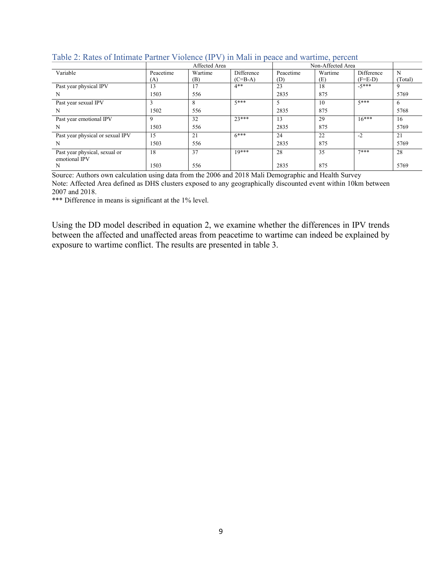|                                                |                  | Affected Area  |                         |                  |                |                         |              |
|------------------------------------------------|------------------|----------------|-------------------------|------------------|----------------|-------------------------|--------------|
| Variable                                       | Peacetime<br>(A) | Wartime<br>(B) | Difference<br>$(C=B-A)$ | Peacetime<br>(D) | Wartime<br>(E) | Difference<br>$(F=E-D)$ | N<br>(Total) |
| Past year physical IPV                         | 13               | 17             | $4**$                   | 23               | 18             | $-5***$                 | 9            |
| N                                              | 1503             | 556            |                         | 2835             | 875            |                         | 5769         |
| Past year sexual IPV                           |                  | 8              | $5***$                  | 5                | 10             | $5***$                  | 6            |
| N                                              | 1502             | 556            |                         | 2835             | 875            |                         | 5768         |
| Past year emotional IPV                        | 9                | 32             | $23***$                 | 13               | 29             | $16***$                 | 16           |
| N                                              | 1503             | 556            |                         | 2835             | 875            |                         | 5769         |
| Past year physical or sexual IPV               | 15               | 21             | $6***$                  | 24               | 22             | $-2$                    | 21           |
| N                                              | 1503             | 556            |                         | 2835             | 875            |                         | 5769         |
| Past year physical, sexual or<br>emotional IPV | 18               | 37             | $10***$                 | 28               | 35             | $7***$                  | 28           |
| N                                              | 1503             | 556            |                         | 2835             | 875            |                         | 5769         |

# Table 2: Rates of Intimate Partner Violence (IPV) in Mali in peace and wartime, percent

Source: Authors own calculation using data from the 2006 and 2018 Mali Demographic and Health Survey Note: Affected Area defined as DHS clusters exposed to any geographically discounted event within 10km between 2007 and 2018.

\*\*\* Difference in means is significant at the 1% level.

Using the DD model described in equation 2, we examine whether the differences in IPV trends between the affected and unaffected areas from peacetime to wartime can indeed be explained by exposure to wartime conflict. The results are presented in table 3.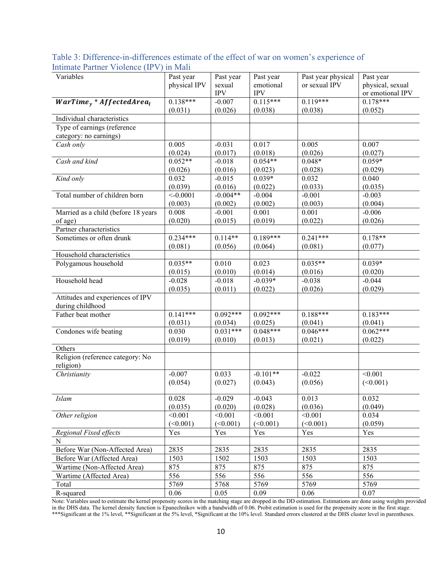| $\frac{1}{2}$                       |              |            |            |                    |                  |
|-------------------------------------|--------------|------------|------------|--------------------|------------------|
| Variables                           | Past year    | Past year  | Past year  | Past year physical | Past year        |
|                                     | physical IPV | sexual     | emotional  | or sexual IPV      | physical, sexual |
|                                     |              | <b>IPV</b> | <b>IPV</b> |                    | or emotional IPV |
| $WarTime_{y} * Affected Area_{l}$   | $0.138***$   | $-0.007$   | $0.115***$ | $0.119***$         | $0.178***$       |
|                                     | (0.031)      | (0.026)    | (0.038)    | (0.038)            | (0.052)          |
| Individual characteristics          |              |            |            |                    |                  |
| Type of earnings (reference         |              |            |            |                    |                  |
| category: no earnings)              |              |            |            |                    |                  |
| Cash only                           | 0.005        | $-0.031$   | 0.017      | 0.005              | 0.007            |
|                                     | (0.024)      | (0.017)    | (0.018)    | (0.026)            | (0.027)          |
| Cash and kind                       | $0.052**$    | $-0.018$   | $0.054**$  | $0.048*$           | $0.059*$         |
|                                     | (0.026)      | (0.016)    | (0.023)    | (0.028)            | (0.029)          |
| Kind only                           | 0.032        | $-0.015$   | $0.039*$   | 0.032              | 0.040            |
|                                     | (0.039)      | (0.016)    | (0.022)    | (0.033)            | (0.035)          |
| Total number of children born       | $< -0.0001$  | $-0.004**$ | $-0.004$   | $-0.001$           | $-0.003$         |
|                                     | (0.003)      | (0.002)    | (0.002)    | (0.003)            | (0.004)          |
| Married as a child (before 18 years | 0.008        | $-0.001$   | 0.001      | 0.001              | $-0.006$         |
| of age)                             | (0.020)      | (0.015)    | (0.019)    | (0.022)            | (0.026)          |
| Partner characteristics             |              |            |            |                    |                  |
| Sometimes or often drunk            | $0.234***$   | $0.114**$  | $0.189***$ | $0.241***$         | $0.178**$        |
|                                     | (0.081)      | (0.056)    | (0.064)    | (0.081)            | (0.077)          |
| Household characteristics           |              |            |            |                    |                  |
| Polygamous household                | $0.035**$    | 0.010      | 0.023      | $0.035**$          | $0.039*$         |
|                                     | (0.015)      | (0.010)    | (0.014)    | (0.016)            | (0.020)          |
| Household head                      | $-0.028$     | $-0.018$   | $-0.039*$  | $-0.038$           | $-0.044$         |
|                                     | (0.035)      | (0.011)    | (0.022)    | (0.026)            | (0.029)          |
| Attitudes and experiences of IPV    |              |            |            |                    |                  |
| during childhood                    |              |            |            |                    |                  |
| Father beat mother                  | $0.141***$   | $0.092***$ | $0.092***$ | $0.188***$         | $0.183***$       |
|                                     | (0.031)      | (0.034)    | (0.025)    | (0.041)            | (0.041)          |
| Condones wife beating               | 0.030        | $0.031***$ | $0.048***$ | $0.046***$         | $0.062***$       |
|                                     | (0.019)      | (0.010)    | (0.013)    | (0.021)            | (0.022)          |
| Others                              |              |            |            |                    |                  |
| Religion (reference category: No    |              |            |            |                    |                  |
| religion)                           |              |            |            |                    |                  |
| Christianity                        | $-0.007$     | 0.033      | $-0.101**$ | $-0.022$           | < 0.001          |
|                                     | (0.054)      | (0.027)    | (0.043)    | (0.056)            | (<0.001)         |
|                                     |              |            |            |                    |                  |
| <b>Islam</b>                        | 0.028        | $-0.029$   | $-0.043$   | 0.013              | 0.032            |
|                                     | (0.035)      | (0.020)    | (0.028)    | (0.036)            | (0.049)          |
| Other religion                      | < 0.001      | < 0.001    | < 0.001    | < 0.001            | 0.034            |
|                                     | (<0.001)     | (<0.001)   | (<0.001)   | (<0.001)           | (0.059)          |
| Regional Fixed effects              | Yes          | Yes        | Yes        | Yes                | Yes              |
| N                                   |              |            |            |                    |                  |
| Before War (Non-Affected Area)      | 2835         | 2835       | 2835       | 2835               | 2835             |
| Before War (Affected Area)          | 1503         | 1502       | 1503       | 1503               | 1503             |
| Wartime (Non-Affected Area)         | 875          | 875        | 875        | 875                | 875              |
| Wartime (Affected Area)             | 556          | 556        | 556        | 556                | 556              |
| Total                               | 5769         | 5768       | 5769       | 5769               | 5769             |
| R-squared                           | 0.06         | 0.05       | 0.09       | 0.06               | 0.07             |

| Table 3: Difference-in-differences estimate of the effect of war on women's experience of |  |  |  |  |  |
|-------------------------------------------------------------------------------------------|--|--|--|--|--|
| Intimate Partner Violence (IPV) in Mali                                                   |  |  |  |  |  |

Note: Variables used to estimate the kernel propensity scores in the matching stage are dropped in the DD estimation. Estimations are done using weights provided in the DHS data. The kernel density function is Epanechnikov with a bandwidth of 0.06. Probit estimation is used for the propensity score in the first stage. \*\*\*Significant at the 1% level, \*\*Significant at the 5% level, \*Significant at the 10% level. Standard errors clustered at the DHS cluster level in parentheses.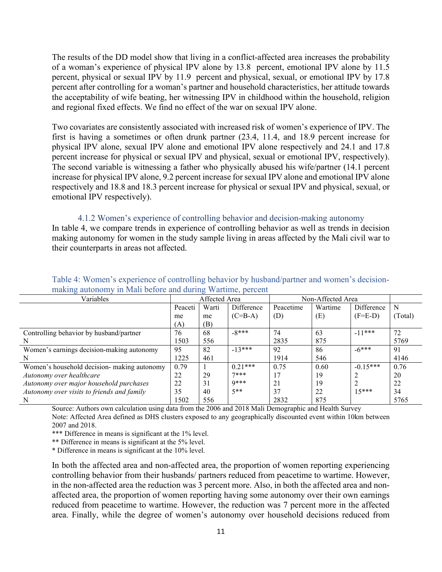The results of the DD model show that living in a conflict-affected area increases the probability of a woman's experience of physical IPV alone by 13.8 percent, emotional IPV alone by 11.5 percent, physical or sexual IPV by 11.9 percent and physical, sexual, or emotional IPV by 17.8 percent after controlling for a woman's partner and household characteristics, her attitude towards the acceptability of wife beating, her witnessing IPV in childhood within the household, religion and regional fixed effects. We find no effect of the war on sexual IPV alone.

Two covariates are consistently associated with increased risk of women's experience of IPV. The first is having a sometimes or often drunk partner (23.4, 11.4, and 18.9 percent increase for physical IPV alone, sexual IPV alone and emotional IPV alone respectively and 24.1 and 17.8 percent increase for physical or sexual IPV and physical, sexual or emotional IPV, respectively). The second variable is witnessing a father who physically abused his wife/partner (14.1 percent increase for physical IPV alone, 9.2 percent increase for sexual IPV alone and emotional IPV alone respectively and 18.8 and 18.3 percent increase for physical or sexual IPV and physical, sexual, or emotional IPV respectively).

4.1.2 Women's experience of controlling behavior and decision-making autonomy In table 4, we compare trends in experience of controlling behavior as well as trends in decision making autonomy for women in the study sample living in areas affected by the Mali civil war to their counterparts in areas not affected.

| Variables                                   |         | Affected Area |            | Non-Affected Area |         |            |        |  |  |
|---------------------------------------------|---------|---------------|------------|-------------------|---------|------------|--------|--|--|
|                                             | Peaceti | Warti         | Difference | Peacetime         | Wartime | Difference | N      |  |  |
|                                             | me      | me            | $(C=B-A)$  | (D)               | (E)     | $(F=E-D)$  | Total) |  |  |
|                                             | (A)     | (B)           |            |                   |         |            |        |  |  |
| Controlling behavior by husband/partner     | 76      | 68            | $-8***$    | 74                | 63      | $-11***$   | 72     |  |  |
| N                                           | 1503    | 556           |            | 2835              | 875     |            | 5769   |  |  |
| Women's earnings decision-making autonomy   | 95      | 82            | $-13***$   | 92                | 86      | $-6***$    | 91     |  |  |
| N                                           | 1225    | 461           |            | 1914              | 546     |            | 4146   |  |  |
| Women's household decision- making autonomy | 0.79    |               | $0.21***$  | 0.75              | 0.60    | $-0.15***$ | 0.76   |  |  |
| Autonomy over healthcare                    | 22      | 29            | $7***$     | 17                | 19      |            | 20     |  |  |
| Autonomy over major household purchases     | 22      | 31            | $0***$     | 21                | 19      |            | 22     |  |  |
| Autonomy over visits to friends and family  | 35      | 40            | $5**$      | 37                | 22      | $15***$    | 34     |  |  |
| N                                           | 1502    | 556           |            | 2832              | 875     |            | 5765   |  |  |

Table 4: Women's experience of controlling behavior by husband/partner and women's decisionmaking autonomy in Mali before and during Wartime, percent

Source: Authors own calculation using data from the 2006 and 2018 Mali Demographic and Health Survey Note: Affected Area defined as DHS clusters exposed to any geographically discounted event within 10km between 2007 and 2018.

\*\*\* Difference in means is significant at the 1% level.

\*\* Difference in means is significant at the 5% level.

\* Difference in means is significant at the 10% level.

In both the affected area and non-affected area, the proportion of women reporting experiencing controlling behavior from their husbands/ partners reduced from peacetime to wartime. However, in the non-affected area the reduction was 3 percent more. Also, in both the affected area and nonaffected area, the proportion of women reporting having some autonomy over their own earnings reduced from peacetime to wartime. However, the reduction was 7 percent more in the affected area. Finally, while the degree of women's autonomy over household decisions reduced from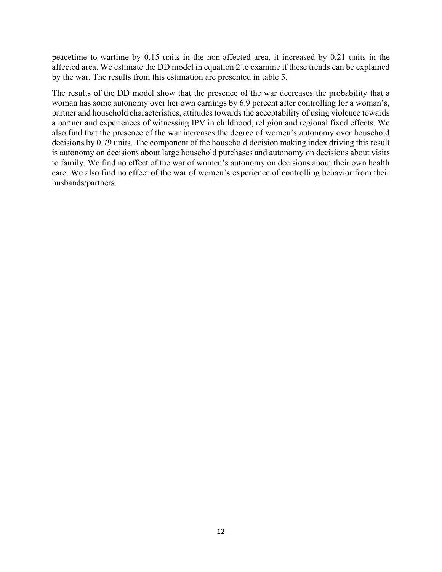peacetime to wartime by 0.15 units in the non-affected area, it increased by 0.21 units in the affected area. We estimate the DD model in equation 2 to examine if these trends can be explained by the war. The results from this estimation are presented in table 5.

The results of the DD model show that the presence of the war decreases the probability that a woman has some autonomy over her own earnings by 6.9 percent after controlling for a woman's, partner and household characteristics, attitudes towards the acceptability of using violence towards a partner and experiences of witnessing IPV in childhood, religion and regional fixed effects. We also find that the presence of the war increases the degree of women's autonomy over household decisions by 0.79 units. The component of the household decision making index driving this result is autonomy on decisions about large household purchases and autonomy on decisions about visits to family. We find no effect of the war of women's autonomy on decisions about their own health care. We also find no effect of the war of women's experience of controlling behavior from their husbands/partners.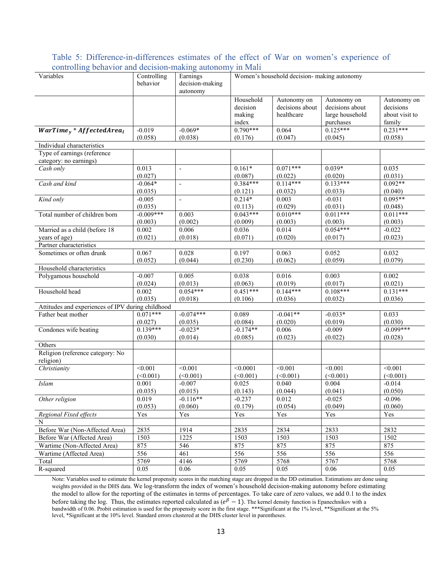| Variables                                             | Controlling<br>behavior | Earnings<br>decision-making<br>autonomy | Women's household decision- making autonomy |                                              |                                                                |                                                      |  |
|-------------------------------------------------------|-------------------------|-----------------------------------------|---------------------------------------------|----------------------------------------------|----------------------------------------------------------------|------------------------------------------------------|--|
|                                                       |                         |                                         | Household<br>decision<br>making<br>index    | Autonomy on<br>decisions about<br>healthcare | Autonomy on<br>decisions about<br>large household<br>purchases | Autonomy on<br>decisions<br>about visit to<br>family |  |
| $WarTime_{\gamma} * Affected Area_{l}$                | $-0.019$<br>(0.058)     | $-0.069*$<br>(0.038)                    | $0.790***$<br>(0.176)                       | 0.064<br>(0.047)                             | $0.125***$<br>(0.045)                                          | $0.231***$<br>(0.058)                                |  |
| Individual characteristics                            |                         |                                         |                                             |                                              |                                                                |                                                      |  |
| Type of earnings (reference<br>category: no earnings) |                         |                                         |                                             |                                              |                                                                |                                                      |  |
| Cash only                                             | 0.013                   | $\frac{1}{2}$                           | $0.161*$                                    | $0.071***$                                   | $0.039*$                                                       | 0.035                                                |  |
|                                                       | (0.027)                 |                                         | (0.087)                                     | (0.022)                                      | (0.020)                                                        | (0.031)                                              |  |
| Cash and kind                                         | $-0.064*$               | $\frac{1}{2}$                           | $0.384***$                                  | $0.114***$                                   | $0.133***$                                                     | $0.092**$                                            |  |
|                                                       | (0.035)                 |                                         | (0.121)                                     | (0.032)                                      | (0.033)                                                        | (0.040)                                              |  |
| Kind only                                             | $-0.005$                | $\overline{a}$                          | $0.214*$                                    | 0.003                                        | $-0.031$                                                       | $0.095**$                                            |  |
|                                                       | (0.035)                 |                                         | (0.113)                                     | (0.029)                                      | (0.031)                                                        | (0.048)                                              |  |
| Total number of children born                         | $-0.009***$             | 0.003                                   | $0.043***$                                  | $0.010***$                                   | $0.011***$                                                     | $0.011***$                                           |  |
|                                                       | (0.003)                 | (0.002)                                 | (0.009)                                     | (0.003)                                      | (0.003)<br>$0.054***$                                          | (0.003)                                              |  |
| Married as a child (before 18                         | 0.002                   | 0.006                                   | 0.036                                       | 0.014                                        |                                                                | $-0.022$                                             |  |
| years of age)                                         | (0.021)                 | (0.018)                                 | (0.071)                                     | (0.020)                                      | (0.017)                                                        | (0.023)                                              |  |
| Partner characteristics                               |                         |                                         |                                             | 0.063                                        |                                                                |                                                      |  |
| Sometimes or often drunk                              | 0.067<br>(0.052)        | 0.028<br>(0.044)                        | 0.197<br>(0.230)                            | (0.062)                                      | 0.052<br>(0.059)                                               | 0.032<br>(0.079)                                     |  |
| Household characteristics                             |                         |                                         |                                             |                                              |                                                                |                                                      |  |
| Polygamous household                                  | $-0.007$                | 0.005                                   | 0.038                                       | 0.016                                        | 0.003                                                          | 0.002                                                |  |
|                                                       | (0.024)                 | (0.013)                                 | (0.063)                                     | (0.019)                                      | (0.017)                                                        | (0.021)                                              |  |
| Household head                                        | 0.002                   | $0.054***$                              | $0.451***$                                  | $0.144***$                                   | $0.108***$                                                     | $0.131***$                                           |  |
|                                                       | (0.035)                 | (0.018)                                 | (0.106)                                     | (0.036)                                      | (0.032)                                                        | (0.036)                                              |  |
| Attitudes and experiences of IPV during childhood     |                         |                                         |                                             |                                              |                                                                |                                                      |  |
| Father beat mother                                    | $0.071***$              | $-0.074***$                             | 0.089                                       | $-0.041**$                                   | $-0.033*$                                                      | 0.033                                                |  |
|                                                       | (0.027)                 | (0.035)                                 | (0.084)                                     | (0.020)                                      | (0.019)                                                        | (0.030)                                              |  |
| Condones wife beating                                 | $0.139***$              | $-0.023*$                               | $-0.174**$                                  | 0.006                                        | $-0.009$                                                       | $-0.099***$                                          |  |
|                                                       | (0.030)                 | (0.014)                                 | (0.085)                                     | (0.023)                                      | (0.022)                                                        | (0.028)                                              |  |
| Others                                                |                         |                                         |                                             |                                              |                                                                |                                                      |  |
| Religion (reference category: No<br>religion)         |                         |                                         |                                             |                                              |                                                                |                                                      |  |
| Christianity                                          | < 0.001                 | $\sqrt{0.001}$                          | < 0.0001                                    | < 0.001                                      | < 0.001                                                        | < 0.001                                              |  |
|                                                       | (<0.001)                | (<0.001)                                | (<0.001)                                    | (<0.001)                                     | (<0.001)                                                       | (<0.001)                                             |  |
| Islam                                                 | 0.001                   | $-0.007$                                | 0.025                                       | 0.040                                        | 0.004                                                          | $-0.014$                                             |  |
|                                                       | (0.035)                 | (0.015)                                 | (0.143)                                     | (0.044)                                      | (0.041)                                                        | (0.050)                                              |  |
| Other religion                                        | 0.019                   | $-0.116**$                              | $-0.237$                                    | 0.012                                        | $-0.025$                                                       | $-0.096$                                             |  |
|                                                       | (0.053)                 | (0.060)                                 | (0.179)                                     | (0.054)                                      | (0.049)                                                        | (0.060)                                              |  |
| Regional Fixed effects                                | Yes                     | Yes                                     | Yes                                         | Yes                                          | Yes                                                            | Yes                                                  |  |
| N                                                     |                         |                                         |                                             |                                              |                                                                |                                                      |  |
| Before War (Non-Affected Area)                        | 2835                    | 1914                                    | 2835                                        | 2834                                         | 2833                                                           | 2832                                                 |  |
| Before War (Affected Area)                            | 1503                    | 1225                                    | 1503                                        | 1503                                         | 1503                                                           | 1502                                                 |  |
| Wartime (Non-Affected Area)                           | 875                     | 546                                     | 875                                         | 875                                          | 875                                                            | 875                                                  |  |
| Wartime (Affected Area)                               | 556                     | 461                                     | 556                                         | 556                                          | 556                                                            | 556                                                  |  |
| Total                                                 | 5769                    | 4146                                    | 5769                                        | 5768                                         | 5767                                                           | 5768                                                 |  |
| R-squared                                             | 0.05                    | 0.06                                    | 0.05                                        | 0.05                                         | 0.06                                                           | 0.05                                                 |  |

Table 5: Difference-in-differences estimates of the effect of War on women's experience of controlling behavior and decision-making autonomy in Mali

Note: Variables used to estimate the kernel propensity scores in the matching stage are dropped in the DD estimation. Estimations are done using weights provided in the DHS data. We log-transform the index of women's household decision-making autonomy before estimating the model to allow for the reporting of the estimates in terms of percentages. To take care of zero values, we add 0.1 to the index before taking the log. Thus, the estimates reported calculated as  $(e^{\beta} - 1)$ . The kernel density function is Epanechnikov with a bandwidth of 0.06. Probit estimation is used for the propensity score in the first stage. \*\*\*Significant at the 1% level, \*\*Significant at the 5% level, \*Significant at the 10% level. Standard errors clustered at the DHS cluster level in parentheses.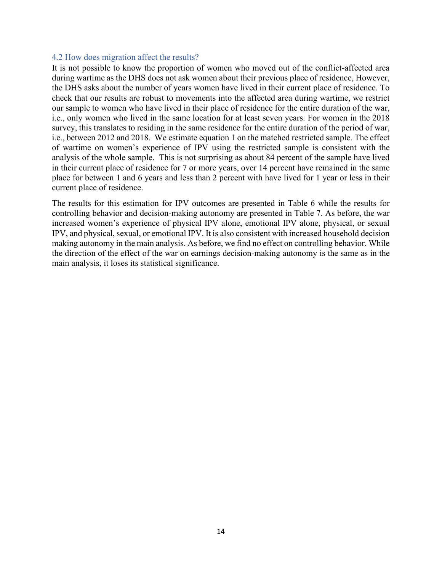### 4.2 How does migration affect the results?

It is not possible to know the proportion of women who moved out of the conflict-affected area during wartime as the DHS does not ask women about their previous place of residence, However, the DHS asks about the number of years women have lived in their current place of residence. To check that our results are robust to movements into the affected area during wartime, we restrict our sample to women who have lived in their place of residence for the entire duration of the war, i.e., only women who lived in the same location for at least seven years. For women in the 2018 survey, this translates to residing in the same residence for the entire duration of the period of war, i.e., between 2012 and 2018. We estimate equation 1 on the matched restricted sample. The effect of wartime on women's experience of IPV using the restricted sample is consistent with the analysis of the whole sample. This is not surprising as about 84 percent of the sample have lived in their current place of residence for 7 or more years, over 14 percent have remained in the same place for between 1 and 6 years and less than 2 percent with have lived for 1 year or less in their current place of residence.

The results for this estimation for IPV outcomes are presented in Table 6 while the results for controlling behavior and decision-making autonomy are presented in Table 7. As before, the war increased women's experience of physical IPV alone, emotional IPV alone, physical, or sexual IPV, and physical, sexual, or emotional IPV. It is also consistent with increased household decision making autonomy in the main analysis. As before, we find no effect on controlling behavior. While the direction of the effect of the war on earnings decision-making autonomy is the same as in the main analysis, it loses its statistical significance.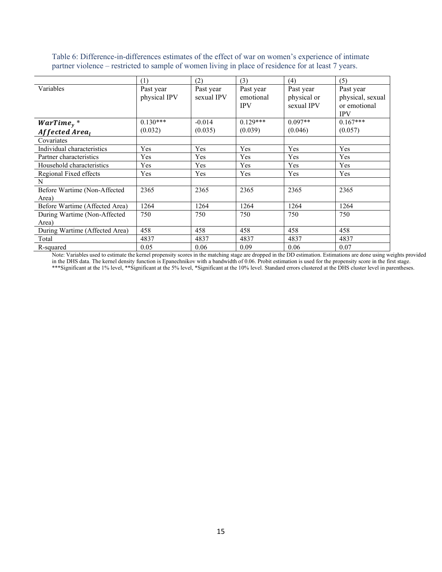|                                | (1)                       | (2)                     | (3)                    | (4)                      | (5)                           |
|--------------------------------|---------------------------|-------------------------|------------------------|--------------------------|-------------------------------|
| Variables                      | Past year<br>physical IPV | Past year<br>sexual IPV | Past year<br>emotional | Past year<br>physical or | Past year<br>physical, sexual |
|                                |                           |                         | <b>IPV</b>             | sexual IPV               | or emotional<br><b>IPV</b>    |
| $WarTime_{v}$ *                | $0.130***$                | $-0.014$                | $0.129***$             | $0.097**$                | $0.167***$                    |
| Affected Area <sub>l</sub>     | (0.032)                   | (0.035)                 | (0.039)                | (0.046)                  | (0.057)                       |
| Covariates                     |                           |                         |                        |                          |                               |
| Individual characteristics     | Yes                       | Yes                     | Yes                    | Yes                      | Yes                           |
| Partner characteristics        | Yes                       | Yes                     | Yes                    | Yes                      | Yes                           |
| Household characteristics      | Yes                       | Yes                     | Yes                    | Yes                      | Yes                           |
| Regional Fixed effects         | Yes                       | Yes                     | Yes                    | Yes                      | Yes                           |
| N                              |                           |                         |                        |                          |                               |
| Before Wartime (Non-Affected   | 2365                      | 2365                    | 2365                   | 2365                     | 2365                          |
| Area)                          |                           |                         |                        |                          |                               |
| Before Wartime (Affected Area) | 1264                      | 1264                    | 1264                   | 1264                     | 1264                          |
| During Wartime (Non-Affected   | 750                       | 750                     | 750                    | 750                      | 750                           |
| Area)                          |                           |                         |                        |                          |                               |
| During Wartime (Affected Area) | 458                       | 458                     | 458                    | 458                      | 458                           |
| Total                          | 4837                      | 4837                    | 4837                   | 4837                     | 4837                          |
| R-squared                      | 0.05                      | 0.06                    | 0.09                   | 0.06                     | 0.07                          |

Table 6: Difference-in-differences estimates of the effect of war on women's experience of intimate partner violence – restricted to sample of women living in place of residence for at least 7 years.

Note: Variables used to estimate the kernel propensity scores in the matching stage are dropped in the DD estimation. Estimations are done using weights provided in the DHS data. The kernel density function is Epanechnikov with a bandwidth of 0.06. Probit estimation is used for the propensity score in the first stage. \*\*\*Significant at the 1% level, \*\*Significant at the 5% level, \*Significant at the 10% level. Standard errors clustered at the DHS cluster level in parentheses.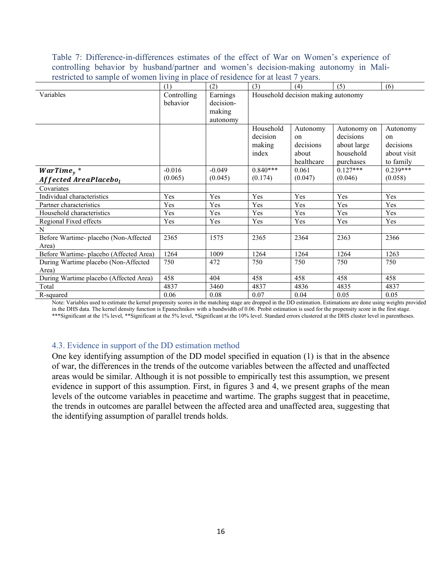Table 7: Difference-in-differences estimates of the effect of War on Women's experience of controlling behavior by husband/partner and women's decision-making autonomy in Malirestricted to sample of women living in place of residence for at least 7 years.

| restricted to sample of women fiving in place of residence for at reast () years. | (1)         | (2)       | (3)        | (4)                                | (5)         | (6)           |
|-----------------------------------------------------------------------------------|-------------|-----------|------------|------------------------------------|-------------|---------------|
| Variables                                                                         | Controlling | Earnings  |            | Household decision making autonomy |             |               |
|                                                                                   | behavior    | decision- |            |                                    |             |               |
|                                                                                   |             | making    |            |                                    |             |               |
|                                                                                   |             | autonomy  |            |                                    |             |               |
|                                                                                   |             |           | Household  | Autonomy                           | Autonomy on | Autonomy      |
|                                                                                   |             |           | decision   | on                                 | decisions   | <sub>on</sub> |
|                                                                                   |             |           | making     | decisions                          | about large | decisions     |
|                                                                                   |             |           | index      | about                              | household   | about visit   |
|                                                                                   |             |           |            | healthcare                         | purchases   | to family     |
| $WarTime_{y}$ *                                                                   | $-0.016$    | $-0.049$  | $0.840***$ | 0.061                              | $0.127***$  | $0.239***$    |
| Affected AreaPlacebo <sub>1</sub>                                                 | (0.065)     | (0.045)   | (0.174)    | (0.047)                            | (0.046)     | (0.058)       |
| Covariates                                                                        |             |           |            |                                    |             |               |
| Individual characteristics                                                        | Yes         | Yes       | Yes        | Yes                                | Yes         | Yes           |
| Partner characteristics                                                           | Yes         | Yes       | Yes        | Yes                                | Yes         | Yes           |
| Household characteristics                                                         | Yes         | Yes       | Yes        | Yes                                | Yes         | Yes           |
| Regional Fixed effects                                                            | Yes         | Yes       | Yes        | Yes                                | Yes         | Yes           |
| N                                                                                 |             |           |            |                                    |             |               |
| Before Wartime- placebo (Non-Affected                                             | 2365        | 1575      | 2365       | 2364                               | 2363        | 2366          |
| Area)                                                                             |             |           |            |                                    |             |               |
| Before Wartime- placebo (Affected Area)                                           | 1264        | 1009      | 1264       | 1264                               | 1264        | 1263          |
| During Wartime placebo (Non-Affected                                              | 750         | 472       | 750        | 750                                | 750         | 750           |
| Area)                                                                             |             |           |            |                                    |             |               |
| During Wartime placebo (Affected Area)                                            | 458         | 404       | 458        | 458                                | 458         | 458           |
| Total                                                                             | 4837        | 3460      | 4837       | 4836                               | 4835        | 4837          |
| R-squared                                                                         | 0.06        | 0.08      | 0.07       | 0.04                               | 0.05        | 0.05          |

Note: Variables used to estimate the kernel propensity scores in the matching stage are dropped in the DD estimation. Estimations are done using weights provided in the DHS data. The kernel density function is Epanechnikov with a bandwidth of 0.06. Probit estimation is used for the propensity score in the first stage. \*\*\*Significant at the 1% level, \*\*Significant at the 5% level, \*Significant at the 10% level. Standard errors clustered at the DHS cluster level in parentheses.

# 4.3. Evidence in support of the DD estimation method

One key identifying assumption of the DD model specified in equation (1) is that in the absence of war, the differences in the trends of the outcome variables between the affected and unaffected areas would be similar. Although it is not possible to empirically test this assumption, we present evidence in support of this assumption. First, in figures 3 and 4, we present graphs of the mean levels of the outcome variables in peacetime and wartime. The graphs suggest that in peacetime, the trends in outcomes are parallel between the affected area and unaffected area, suggesting that the identifying assumption of parallel trends holds.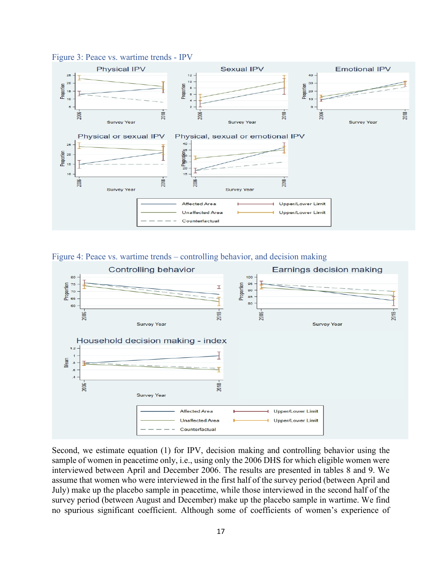

#### Figure 3: Peace vs. wartime trends - IPV





Second, we estimate equation (1) for IPV, decision making and controlling behavior using the sample of women in peacetime only, i.e., using only the 2006 DHS for which eligible women were interviewed between April and December 2006. The results are presented in tables 8 and 9. We assume that women who were interviewed in the first half of the survey period (between April and July) make up the placebo sample in peacetime, while those interviewed in the second half of the survey period (between August and December) make up the placebo sample in wartime. We find no spurious significant coefficient. Although some of coefficients of women's experience of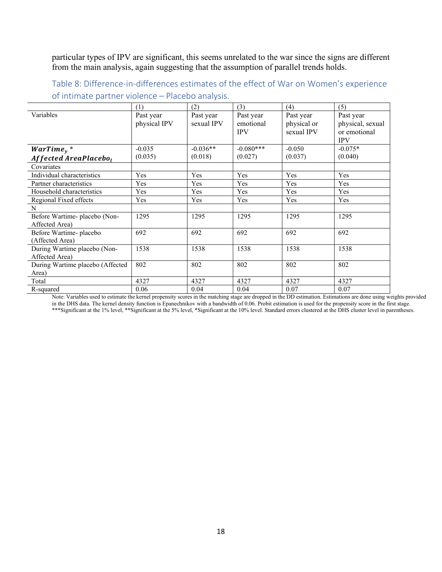particular types of IPV are significant, this seems unrelated to the war since the signs are different from the main analysis, again suggesting that the assumption of parallel trends holds.

Table 8: Difference-in-differences estimates of the effect of War on Women's experience of intimate partner violence – Placebo analysis.

|                                                 | (1)                       | (2)                     | (3)                                  | (4)                                    | (5)                                                         |
|-------------------------------------------------|---------------------------|-------------------------|--------------------------------------|----------------------------------------|-------------------------------------------------------------|
| Variables                                       | Past year<br>physical IPV | Past year<br>sexual IPV | Past year<br>emotional<br><b>IPV</b> | Past year<br>physical or<br>sexual IPV | Past year<br>physical, sexual<br>or emotional<br><b>IPV</b> |
| $WarTime_{y}$ *                                 | $-0.035$                  | $-0.036**$              | $-0.080***$                          | $-0.050$                               | $-0.075*$                                                   |
| Affected AreaPlacebo <sub>1</sub>               | (0.035)                   | (0.018)                 | (0.027)                              | (0.037)                                | (0.040)                                                     |
| Covariates                                      |                           |                         |                                      |                                        |                                                             |
| Individual characteristics                      | Yes                       | Yes                     | Yes                                  | Yes                                    | Yes                                                         |
| Partner characteristics                         | Yes                       | Yes                     | Yes                                  | Yes                                    | Yes                                                         |
| Household characteristics                       | Yes                       | Yes                     | Yes                                  | Yes                                    | Yes                                                         |
| Regional Fixed effects                          | Yes                       | Yes                     | Yes                                  | Yes                                    | Yes                                                         |
| N                                               |                           |                         |                                      |                                        |                                                             |
| Before Wartime- placebo (Non-<br>Affected Area) | 1295                      | 1295                    | 1295                                 | 1295                                   | 1295                                                        |
| Before Wartime-placebo<br>(Affected Area)       | 692                       | 692                     | 692                                  | 692                                    | 692                                                         |
| During Wartime placebo (Non-<br>Affected Area)  | 1538                      | 1538                    | 1538                                 | 1538                                   | 1538                                                        |
| During Wartime placebo (Affected<br>Area)       | 802                       | 802                     | 802                                  | 802                                    | 802                                                         |
| Total                                           | 4327                      | 4327                    | 4327                                 | 4327                                   | 4327                                                        |
| R-squared                                       | 0.06                      | 0.04                    | 0.04                                 | 0.07                                   | 0.07                                                        |

Note: Variables used to estimate the kernel propensity scores in the matching stage are dropped in the DD estimation. Estimations are done using weights provided in the DHS data. The kernel density function is Epanechnikov with a bandwidth of 0.06. Probit estimation is used for the propensity score in the first stage. \*\*\*Significant at the 1% level, \*\*Significant at the 5% level, \*Significant at the 10% level. Standard errors clustered at the DHS cluster level in parentheses.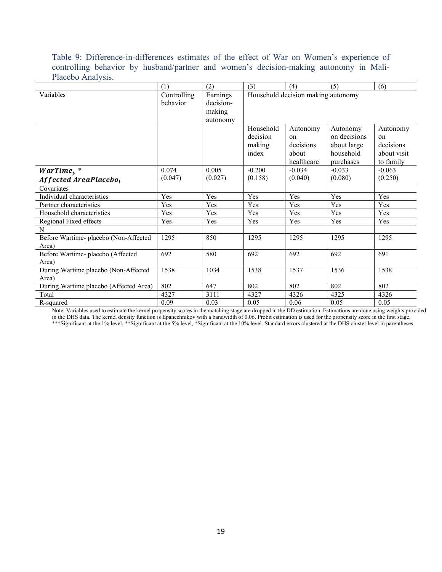Table 9: Difference-in-differences estimates of the effect of War on Women's experience of controlling behavior by husband/partner and women's decision-making autonomy in Mali-Placebo Analysis.

|                                        | (1)         | (2)       | (3)       | (4)                                | (5)          | (6)           |
|----------------------------------------|-------------|-----------|-----------|------------------------------------|--------------|---------------|
| Variables                              | Controlling | Earnings  |           | Household decision making autonomy |              |               |
|                                        | behavior    | decision- |           |                                    |              |               |
|                                        |             | making    |           |                                    |              |               |
|                                        |             | autonomy  |           |                                    |              |               |
|                                        |             |           | Household | Autonomy                           | Autonomy     | Autonomy      |
|                                        |             |           | decision  | on                                 | on decisions | <sub>on</sub> |
|                                        |             |           | making    | decisions                          | about large  | decisions     |
|                                        |             |           | index     | about                              | household    | about visit   |
|                                        |             |           |           | healthcare                         | purchases    | to family     |
| $WarTime_{v}$ *                        | 0.074       | 0.005     | $-0.200$  | $-0.034$                           | $-0.033$     | $-0.063$      |
| Affected AreaPlacebo <sub>l</sub>      | (0.047)     | (0.027)   | (0.158)   | (0.040)                            | (0.080)      | (0.250)       |
| Covariates                             |             |           |           |                                    |              |               |
| Individual characteristics             | Yes         | Yes       | Yes       | Yes                                | Yes          | Yes           |
| Partner characteristics                | Yes         | Yes       | Yes       | Yes                                | Yes          | Yes           |
| Household characteristics              | Yes         | Yes       | Yes       | Yes                                | Yes          | Yes           |
| Regional Fixed effects                 | Yes         | Yes       | Yes       | Yes                                | Yes          | Yes           |
| N                                      |             |           |           |                                    |              |               |
| Before Wartime- placebo (Non-Affected  | 1295        | 850       | 1295      | 1295                               | 1295         | 1295          |
| Area)                                  |             |           |           |                                    |              |               |
| Before Wartime- placebo (Affected      | 692         | 580       | 692       | 692                                | 692          | 691           |
| Area)                                  |             |           |           |                                    |              |               |
| During Wartime placebo (Non-Affected   | 1538        | 1034      | 1538      | 1537                               | 1536         | 1538          |
| Area)                                  |             |           |           |                                    |              |               |
| During Wartime placebo (Affected Area) | 802         | 647       | 802       | 802                                | 802          | 802           |
| Total                                  | 4327        | 3111      | 4327      | 4326                               | 4325         | 4326          |
| R-squared                              | 0.09        | 0.03      | 0.05      | 0.06                               | 0.05         | 0.05          |

Note: Variables used to estimate the kernel propensity scores in the matching stage are dropped in the DD estimation. Estimations are done using weights provided in the DHS data. The kernel density function is Epanechnikov with a bandwidth of 0.06. Probit estimation is used for the propensity score in the first stage. \*\*\*Significant at the 1% level, \*\*Significant at the 5% level, \*Significant at the 10% level. Standard errors clustered at the DHS cluster level in parentheses.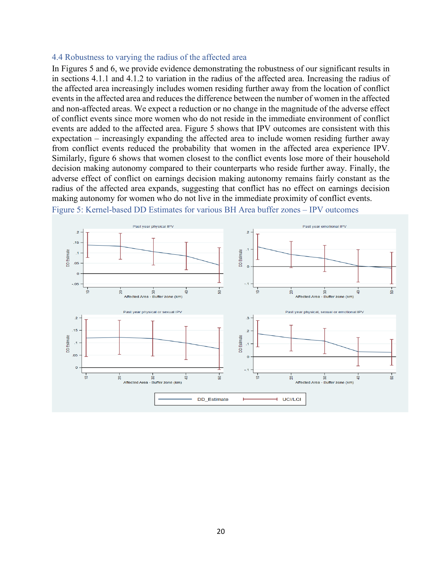#### 4.4 Robustness to varying the radius of the affected area

In Figures 5 and 6, we provide evidence demonstrating the robustness of our significant results in in sections 4.1.1 and 4.1.2 to variation in the radius of the affected area. Increasing the radius of the affected area increasingly includes women residing further away from the location of conflict events in the affected area and reduces the difference between the number of women in the affected and non-affected areas. We expect a reduction or no change in the magnitude of the adverse effect of conflict events since more women who do not reside in the immediate environment of conflict events are added to the affected area. Figure 5 shows that IPV outcomes are consistent with this expectation – increasingly expanding the affected area to include women residing further away from conflict events reduced the probability that women in the affected area experience IPV. Similarly, figure 6 shows that women closest to the conflict events lose more of their household decision making autonomy compared to their counterparts who reside further away. Finally, the adverse effect of conflict on earnings decision making autonomy remains fairly constant as the radius of the affected area expands, suggesting that conflict has no effect on earnings decision making autonomy for women who do not live in the immediate proximity of conflict events.



Figure 5: Kernel-based DD Estimates for various BH Area buffer zones – IPV outcomes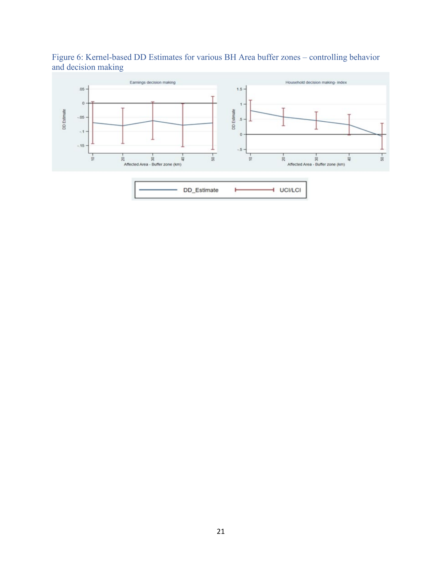

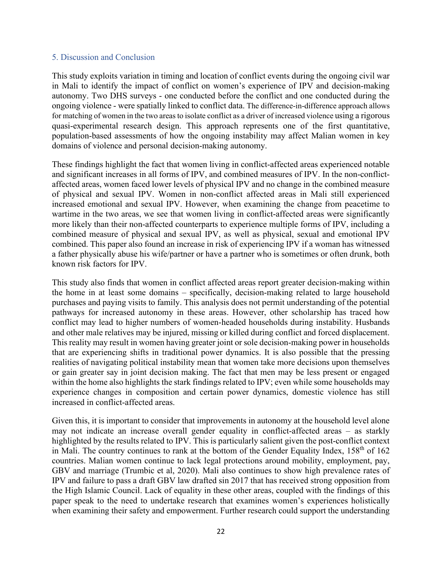# 5. Discussion and Conclusion

This study exploits variation in timing and location of conflict events during the ongoing civil war in Mali to identify the impact of conflict on women's experience of IPV and decision-making autonomy. Two DHS surveys - one conducted before the conflict and one conducted during the ongoing violence - were spatially linked to conflict data. The difference-in-difference approach allows for matching of women in the two areas to isolate conflict as a driver of increased violence using a rigorous quasi-experimental research design. This approach represents one of the first quantitative, population-based assessments of how the ongoing instability may affect Malian women in key domains of violence and personal decision-making autonomy.

These findings highlight the fact that women living in conflict-affected areas experienced notable and significant increases in all forms of IPV, and combined measures of IPV. In the non-conflictaffected areas, women faced lower levels of physical IPV and no change in the combined measure of physical and sexual IPV. Women in non-conflict affected areas in Mali still experienced increased emotional and sexual IPV. However, when examining the change from peacetime to wartime in the two areas, we see that women living in conflict-affected areas were significantly more likely than their non-affected counterparts to experience multiple forms of IPV, including a combined measure of physical and sexual IPV, as well as physical, sexual and emotional IPV combined. This paper also found an increase in risk of experiencing IPV if a woman has witnessed a father physically abuse his wife/partner or have a partner who is sometimes or often drunk, both known risk factors for IPV.

This study also finds that women in conflict affected areas report greater decision-making within the home in at least some domains – specifically, decision-making related to large household purchases and paying visits to family. This analysis does not permit understanding of the potential pathways for increased autonomy in these areas. However, other scholarship has traced how conflict may lead to higher numbers of women-headed households during instability. Husbands and other male relatives may be injured, missing or killed during conflict and forced displacement. This reality may result in women having greater joint or sole decision-making power in households that are experiencing shifts in traditional power dynamics. It is also possible that the pressing realities of navigating political instability mean that women take more decisions upon themselves or gain greater say in joint decision making. The fact that men may be less present or engaged within the home also highlights the stark findings related to IPV; even while some households may experience changes in composition and certain power dynamics, domestic violence has still increased in conflict-affected areas.

Given this, it is important to consider that improvements in autonomy at the household level alone may not indicate an increase overall gender equality in conflict-affected areas – as starkly highlighted by the results related to IPV. This is particularly salient given the post-conflict context in Mali. The country continues to rank at the bottom of the Gender Equality Index,  $158<sup>th</sup>$  of  $162$ countries. Malian women continue to lack legal protections around mobility, employment, pay, GBV and marriage (Trumbic et al, 2020). Mali also continues to show high prevalence rates of IPV and failure to pass a draft GBV law drafted sin 2017 that has received strong opposition from the High Islamic Council. Lack of equality in these other areas, coupled with the findings of this paper speak to the need to undertake research that examines women's experiences holistically when examining their safety and empowerment. Further research could support the understanding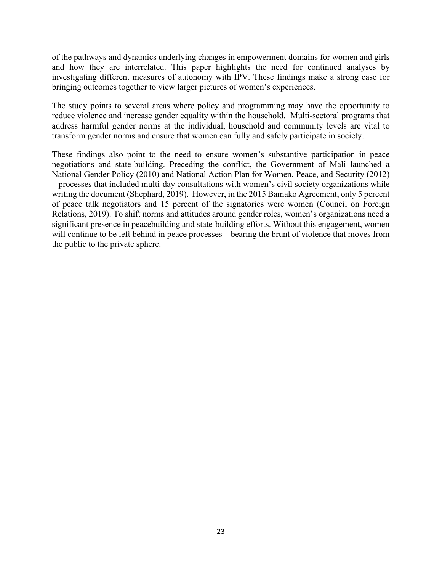of the pathways and dynamics underlying changes in empowerment domains for women and girls and how they are interrelated. This paper highlights the need for continued analyses by investigating different measures of autonomy with IPV. These findings make a strong case for bringing outcomes together to view larger pictures of women's experiences.

The study points to several areas where policy and programming may have the opportunity to reduce violence and increase gender equality within the household. Multi-sectoral programs that address harmful gender norms at the individual, household and community levels are vital to transform gender norms and ensure that women can fully and safely participate in society.

These findings also point to the need to ensure women's substantive participation in peace negotiations and state-building. Preceding the conflict, the Government of Mali launched a National Gender Policy (2010) and National Action Plan for Women, Peace, and Security (2012) – processes that included multi-day consultations with women's civil society organizations while writing the document (Shephard, 2019). However, in the 2015 Bamako Agreement, only 5 percent of peace talk negotiators and 15 percent of the signatories were women (Council on Foreign Relations, 2019). To shift norms and attitudes around gender roles, women's organizations need a significant presence in peacebuilding and state-building efforts. Without this engagement, women will continue to be left behind in peace processes – bearing the brunt of violence that moves from the public to the private sphere.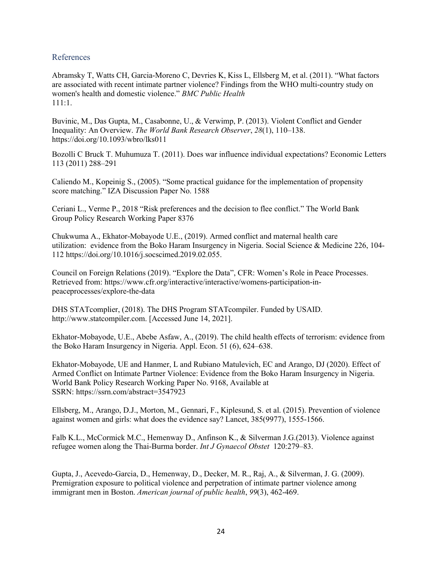# References

Abramsky T, Watts CH, Garcia-Moreno C, Devries K, Kiss L, Ellsberg M, et al. (2011). "What factors are associated with recent intimate partner violence? Findings from the WHO multi-country study on women's health and domestic violence." *BMC Public Health* 111:1.

Buvinic, M., Das Gupta, M., Casabonne, U., & Verwimp, P. (2013). Violent Conflict and Gender Inequality: An Overview. *The World Bank Research Observer*, *28*(1), 110–138. https://doi.org/10.1093/wbro/lks011

Bozolli C Bruck T. Muhumuza T. (2011). Does war influence individual expectations? Economic Letters 113 (2011) 288–291

Caliendo M., Kopeinig S., (2005). "Some practical guidance for the implementation of propensity score matching." IZA Discussion Paper No. 1588

Ceriani L., Verme P., 2018 "Risk preferences and the decision to flee conflict." The World Bank Group Policy Research Working Paper 8376

Chukwuma A., Ekhator-Mobayode U.E., (2019). Armed conflict and maternal health care utilization: evidence from the Boko Haram Insurgency in Nigeria. Social Science & Medicine 226, 104- 112 https://doi.org/10.1016/j.socscimed.2019.02.055.

Council on Foreign Relations (2019). "Explore the Data", CFR: Women's Role in Peace Processes. Retrieved from[: https://www.cfr.org/interactive/interactive/womens-participation-in](https://www.cfr.org/interactive/interactive/womens-participation-in-peaceprocesses/explore-the-data)[peaceprocesses/explore-the-data](https://www.cfr.org/interactive/interactive/womens-participation-in-peaceprocesses/explore-the-data)

DHS STATcomplier, (2018). The DHS Program STATcompiler. Funded by USAID. http://www.statcompiler.com. [Accessed June 14, 2021].

Ekhator-Mobayode, U.E., Abebe Asfaw, A., (2019). The child health effects of terrorism: evidence from the Boko Haram Insurgency in Nigeria. Appl. Econ. 51 (6), 624–638.

Ekhator-Mobayode, UE and Hanmer, L and Rubiano Matulevich, EC and Arango, DJ (2020). Effect of Armed Conflict on Intimate Partner Violence: Evidence from the Boko Haram Insurgency in Nigeria. World Bank Policy Research Working Paper No. 9168, Available at SSRN: <https://ssrn.com/abstract=3547923>

Ellsberg, M., Arango, D.J., Morton, M., Gennari, F., Kiplesund, S. et al. (2015). Prevention of violence against women and girls: what does the evidence say? Lancet, 385(9977), 1555-1566.

Falb K.L., McCormick M.C., Hemenway D., Anfinson K., & Silverman J.G.(2013). Violence against refugee women along the Thai-Burma border. *Int J Gynaecol Obstet* 120:279–83.

Gupta, J., Acevedo-Garcia, D., Hemenway, D., Decker, M. R., Raj, A., & Silverman, J. G. (2009). Premigration exposure to political violence and perpetration of intimate partner violence among immigrant men in Boston. *American journal of public health*, *99*(3), 462-469.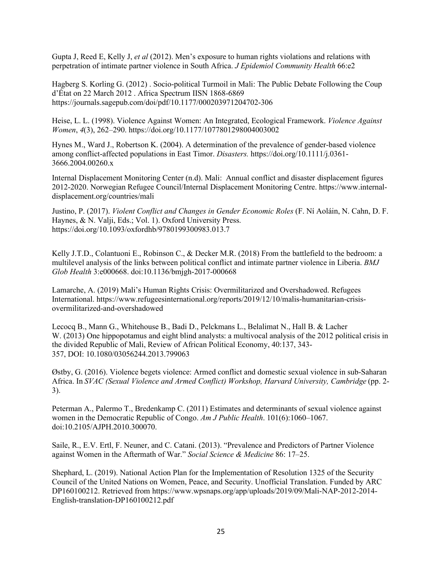Gupta J, Reed E, Kelly J, *et al* (2012). Men's exposure to human rights violations and relations with perpetration of intimate partner violence in South Africa. *J Epidemiol Community Health* 66:e2

Hagberg S. Korling G. (2012) . Socio-political Turmoil in Mali: The Public Debate Following the Coup d'État on 22 March 2012 . Africa Spectrum IISN 1868-6869 <https://journals.sagepub.com/doi/pdf/10.1177/000203971204702-306>

Heise, L. L. (1998). Violence Against Women: An Integrated, Ecological Framework. *Violence Against Women*, *4*(3), 262–290. https://doi.org/10.1177/1077801298004003002

Hynes M., Ward J., Robertson K. (2004). A determination of the prevalence of gender-based violence among conflict-affected populations in East Timor. *Disasters.* [https://doi.org/10.1111/j.0361-](https://doi.org/10.1111/j.0361-3666.2004.00260.x) [3666.2004.00260.x](https://doi.org/10.1111/j.0361-3666.2004.00260.x)

Internal Displacement Monitoring Center (n.d). Mali: Annual conflict and disaster displacement figures 2012-2020. Norwegian Refugee Council/Internal Displacement Monitoring Centre. https://www.internaldisplacement.org/countries/mali

Justino, P. (2017). *Violent Conflict and Changes in Gender Economic Roles* (F. Ní Aoláin, N. Cahn, D. F. Haynes, & N. Valji, Eds.; Vol. 1). Oxford University Press. https://doi.org/10.1093/oxfordhb/9780199300983.013.7

Kelly J.T.D., Colantuoni E., Robinson C., & Decker M.R. (2018) From the battlefield to the bedroom: a multilevel analysis of the links between political conflict and intimate partner violence in Liberia. *BMJ Glob Health* 3:e000668. doi:10.1136/bmjgh-2017-000668

Lamarche, A. (2019) Mali's Human Rights Crisis: Overmilitarized and Overshadowed. Refugees International. [https://www.refugeesinternational.org/reports/2019/12/10/malis-humanitarian-crisis](https://www.refugeesinternational.org/reports/2019/12/10/malis-humanitarian-crisis-overmilitarized-and-overshadowed)[overmilitarized-and-overshadowed](https://www.refugeesinternational.org/reports/2019/12/10/malis-humanitarian-crisis-overmilitarized-and-overshadowed)

Lecocq B., Mann G., Whitehouse B., Badi D., Pelckmans L., Belalimat N., Hall B. & Lacher W. (2013) One hippopotamus and eight blind analysts: a multivocal analysis of the 2012 political crisis in the divided Republic of Mali, Review of African Political Economy, 40:137, 343- 357, DOI: [10.1080/03056244.2013.799063](https://doi.org/10.1080/03056244.2013.799063)

Østby, G. (2016). Violence begets violence: Armed conflict and domestic sexual violence in sub-Saharan Africa. In *SVAC (Sexual Violence and Armed Conflict) Workshop, Harvard University, Cambridge* (pp. 2- 3).

Peterman A., Palermo T., Bredenkamp C. (2011) Estimates and determinants of sexual violence against women in the Democratic Republic of Congo. *Am J Public Health*. 101(6):1060–1067. doi:10.2105/AJPH.2010.300070.

Saile, R., E.V. Ertl, F. Neuner, and C. Catani. (2013). "Prevalence and Predictors of Partner Violence against Women in the Aftermath of War." *Social Science & Medicine* 86: 17–25.

Shephard, L. (2019). National Action Plan for the Implementation of Resolution 1325 of the Security Council of the United Nations on Women, Peace, and Security. Unofficial Translation. Funded by ARC DP160100212. Retrieved from https://www.wpsnaps.org/app/uploads/2019/09/Mali-NAP-2012-2014- English-translation-DP160100212.pdf